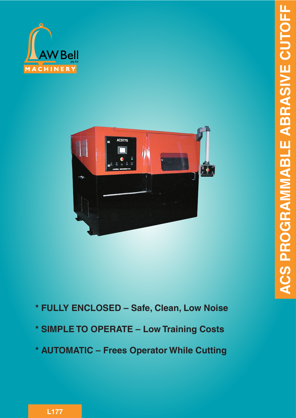



# **\* ??? – ??? FULLY ENCLOSED – Safe, Clean, Low Noise**

- **\* SIMPLE TO OPERATE Low Training Costs**
- **\* AUTOMATIC Frees Operator While Cutting**